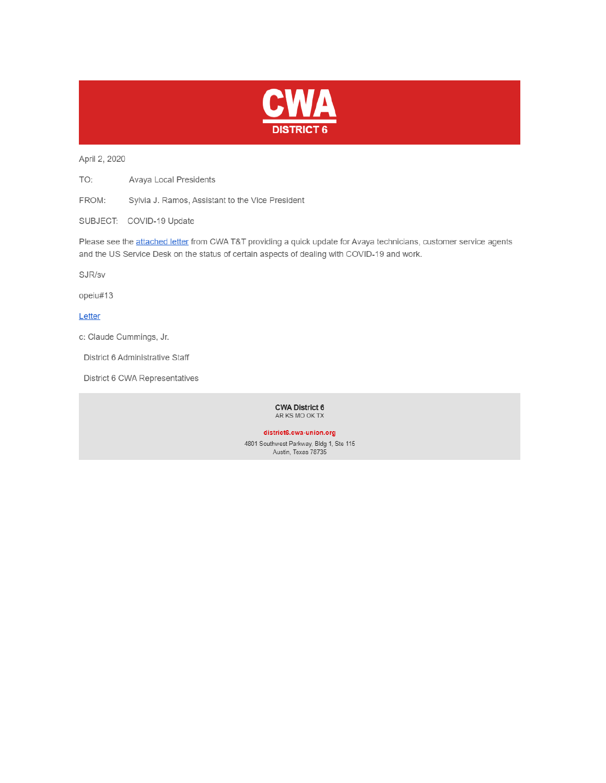

April 2, 2020

TO: Avaya Local Presidents

FROM: Sylvia J. Ramos, Assistant to the Vice President

SUBJECT: COVID-19 Update

Please see the attached letter from CWA T&T providing a quick update for Avaya technicians, customer service agents and the US Service Desk on the status of certain aspects of dealing with COVID-19 and work.

SJR/sv

opeiu#13

Letter

c: Claude Cummings, Jr.

District 6 Administrative Staff

District 6 CWA Representatives

**CWA District 6** AR KS MO OK TX

district6.cwa-union.org

4801 Southwest Parkway, Bldg 1, Ste 115 Austin, Texas 78735